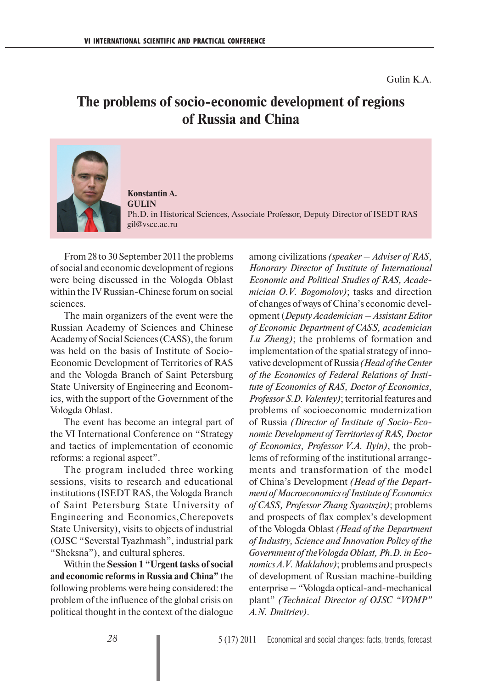## **The problems of socio-economic development of regions of Russia and China**



**Konstantin A. GULIN** Ph.D. in Historical Sciences, Associate Professor, Deputy Director of ISEDT RAS gil@vscc.ac.ru

From 28 to 30 September 2011 the problems of social and economic development of regions were being discussed in the Vologda Oblast within the IV Russian-Chinese forum on social sciences.

The main organizers of the event were the Russian Academy of Sciences and Chinese Academy of Social Sciences (CASS), the forum was held on the basis of Institute of Socio-Economic Development of Territories of RAS and the Vologda Branch of Saint Petersburg State University of Engineering and Economics, with the support of the Government of the Vologda Oblast.

The event has become an integral part of the VI International Conference on "Strategy and tactics of implementation of economic reforms: a regional aspect".

The program included three working sessions, visits to research and educational institutions (ISEDT RAS, the Vologda Branch of Saint Petersburg State University of Engineering and Economics,Cherepovets State University), visits to objects of industrial (OJSC "Severstal Tyazhmash", industrial park "Sheksna"), and cultural spheres.

Within the **Session 1 "Urgent tasks of social and economic reforms in Russia and China"** the following problems were being considered: the problem of the influence of the global crisis on political thought in the context of the dialogue

among civilizations *(speaker – Adviser of RAS, Honorary Director of Institute of International Economic and Political Studies of RAS, Academician O.V. Bogomolov)*; tasks and direction of changes of ways of China's economic development (*Deputy Academician – Assistant Editor of Economic Department of CASS, academician Lu Zheng)*; the problems of formation and implementation of the spatial strategy of innovative development of Russia *(Head of the Center of the Economics of Federal Relations of Institute of Economics of RAS, Doctor of Economics, Professor S.D. Valentey)*; territorial features and problems of socioeconomic modernization of Russia *(Director of Institute of Socio-Economic Development of Territories of RAS, Doctor of Economics, Professor V.A. Ilyin)*, the problems of reforming of the institutional arrangements and transformation of the model of China's Development *(Head of the Department of Macroeconomics of Institute of Economics of CASS, Professor Zhang Syaotszin)*; problems and prospects of flax complex's development of the Vologda Oblast *(Head of the Department of Industry, Science and Innovation Policy of the Government of theVologda Oblast, Ph.D. in Economics A.V. Maklahov)*; problems and prospects of development of Russian machine-building enterprise – "Vologda optical-and-mechanical plant" *(Technical Director of OJSC "VOMP" A.N. Dmitriev)*.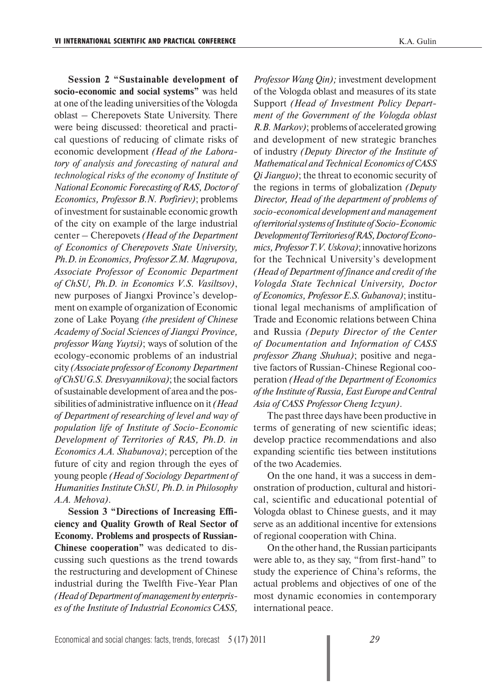**Session 2 "Sustainable development of socio-economic and social systems"** was held at one of the leading universities of the Vologda oblast – Cherepovets State University. There were being discussed: theoretical and practical questions of reducing of climate risks of economic development *(Head of the Laboratory of analysis and forecasting of natural and technological risks of the economy of Institute of National Economic Forecasting of RAS, Doctor of Economics, Professor B.N. Porfiriev)*; problems of investment for sustainable economic growth of the city on example of the large industrial center – Cherepovets *(Head of the Department of Economics of Cherepovets State University, Ph.D. in Economics, Professor Z.M. Magrupova, Associate Professor of Economic Department of ChSU, Ph.D. in Economics V.S. Vasiltsov)*, new purposes of Jiangxi Province's development on example of organization of Economic zone of Lake Poyang *(the president of Chinese Academy of Social Sciences of Jiangxi Province, professor Wang Yuytsi)*; ways of solution of the ecology-economic problems of an industrial city *(Associate professor of Economy Department of ChSU G.S. Dresvyannikova)*; the social factors of sustainable development of area and the possibilities of administrative influence on it *(Head of Department of researching of level and way of population life of Institute of Socio-Economic Development of Territories of RAS, Ph.D. in Economics A.A. Shabunova)*; perception of the future of city and region through the eyes of young people *(Head of Sociology Department of Humanities Institute ChSU, Ph.D. in Philosophy* 

**Session 3 "Directions of Increasing Efficiency and Quality Growth of Real Sector of Economy. Problems and prospects of Russian-Chinese cooperation"** was dedicated to discussing such questions as the trend towards the restructuring and development of Chinese industrial during the Twelfth Five-Year Plan *(Head of Department of management by enterprises of the Institute of Industrial Economics CASS,* 

*A.A. Mehova)*.

*Professor Wang Qin);* investment development of the Vologda oblast and measures of its state Support *(Head of Investment Policy Department of the Government of the Vologda oblast R.B. Markov)*; problems of accelerated growing and development of new strategic branches of industry *(Deputy Director of the Institute of Mathematical and Technical Economics of CASS Qi Jianguo)*; the threat to economic security of the regions in terms of globalization *(Deputy Director, Head of the department of problems of socio-economical development and management of territorial systems of Institute of Socio-Economic Development of Territories of RAS, Doctor of Economics, Professor T.V. Uskova)*; innovative horizons for the Technical University's development *(Head of Department of finance and credit of the Vologda State Technical University, Doctor of Economics, Professor E.S. Gubanova)*; institu tional legal mechanisms of amplification of Trade and Economic relations between China and Russia *(Deputy Director of the Center of Documentation and Information of CASS professor Zhang Shuhua*); positive and negative factors of Russian-Chinese Regional cooperation *(Head of the Department of Economics of the Institute of Russia, East Europe and Central Asia of CASS Professor Cheng Iczyun)*.

The past three days have been productive in terms of generating of new scientific ideas; develop practice recommendations and also expanding scientific ties between institutions of the two Academies.

On the one hand, it was a success in demonstration of production, cultural and historical, scientific and educational potential of Vologda oblast to Chinese guests, and it may serve as an additional incentive for extensions of regional cooperation with China.

On the other hand, the Russian participants were able to, as they say, "from first-hand" to study the experience of China's reforms, the actual problems and objectives of one of the most dynamic economies in contemporary international peace.